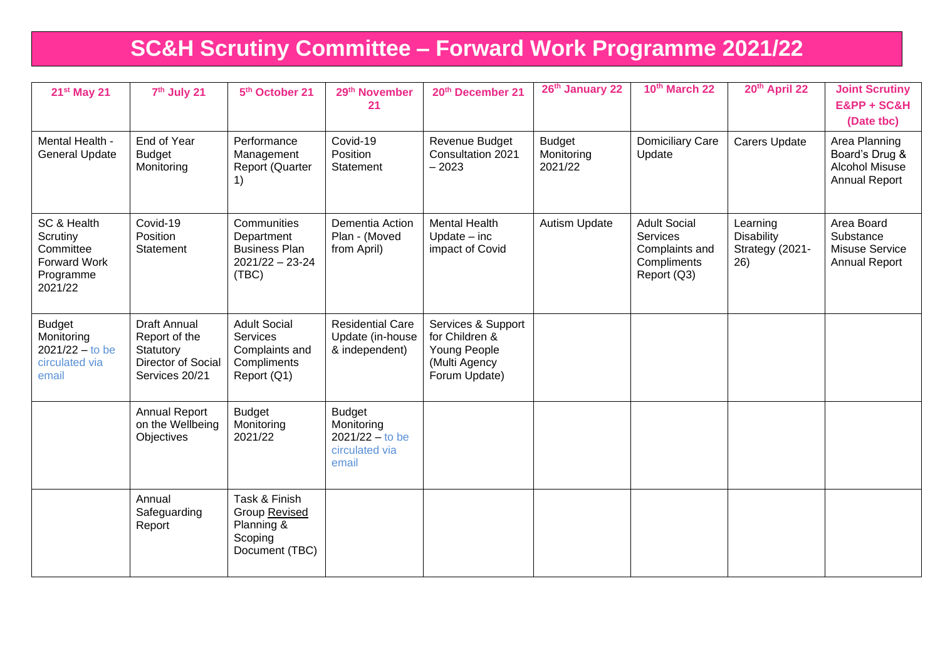# **SC&H Scrutiny Committee – Forward Work Programme 2021/22**

| 21 <sup>st</sup> May 21                                                             | 7 <sup>th</sup> July 21                                                                   | 5 <sup>th</sup> October 21                                                                            | 29th November<br>21                                                         | 20th December 21                                                                       | 26th January 22                        | 10th March 22                                                                          | 20th April 22                                    | <b>Joint Scrutiny</b><br>E&PP + SC&H<br>(Date tbc)                               |
|-------------------------------------------------------------------------------------|-------------------------------------------------------------------------------------------|-------------------------------------------------------------------------------------------------------|-----------------------------------------------------------------------------|----------------------------------------------------------------------------------------|----------------------------------------|----------------------------------------------------------------------------------------|--------------------------------------------------|----------------------------------------------------------------------------------|
| Mental Health -<br><b>General Update</b>                                            | End of Year<br><b>Budget</b><br>Monitoring                                                | Performance<br>Management<br><b>Report (Quarter</b><br>$\left( \begin{matrix} 1 \end{matrix} \right)$ | Covid-19<br>Position<br>Statement                                           | Revenue Budget<br>Consultation 2021<br>$-2023$                                         | <b>Budget</b><br>Monitoring<br>2021/22 | <b>Domiciliary Care</b><br>Update                                                      | Carers Update                                    | Area Planning<br>Board's Drug &<br><b>Alcohol Misuse</b><br><b>Annual Report</b> |
| SC & Health<br>Scrutiny<br>Committee<br><b>Forward Work</b><br>Programme<br>2021/22 | Covid-19<br>Position<br>Statement                                                         | Communities<br>Department<br><b>Business Plan</b><br>$2021/22 - 23 - 24$<br>(TBC)                     | <b>Dementia Action</b><br>Plan - (Moved<br>from April)                      | <b>Mental Health</b><br>$Update - inc$<br>impact of Covid                              | <b>Autism Update</b>                   | <b>Adult Social</b><br><b>Services</b><br>Complaints and<br>Compliments<br>Report (Q3) | Learning<br>Disability<br>Strategy (2021-<br>26) | Area Board<br>Substance<br>Misuse Service<br><b>Annual Report</b>                |
| <b>Budget</b><br>Monitoring<br>$2021/22 - to be$<br>circulated via<br>email         | <b>Draft Annual</b><br>Report of the<br>Statutory<br>Director of Social<br>Services 20/21 | <b>Adult Social</b><br>Services<br>Complaints and<br>Compliments<br>Report (Q1)                       | <b>Residential Care</b><br>Update (in-house<br>& independent)               | Services & Support<br>for Children &<br>Young People<br>(Multi Agency<br>Forum Update) |                                        |                                                                                        |                                                  |                                                                                  |
|                                                                                     | <b>Annual Report</b><br>on the Wellbeing<br>Objectives                                    | <b>Budget</b><br>Monitoring<br>2021/22                                                                | <b>Budget</b><br>Monitoring<br>$2021/22 -$ to be<br>circulated via<br>email |                                                                                        |                                        |                                                                                        |                                                  |                                                                                  |
|                                                                                     | Annual<br>Safeguarding<br>Report                                                          | Task & Finish<br>Group Revised<br>Planning &<br>Scoping<br>Document (TBC)                             |                                                                             |                                                                                        |                                        |                                                                                        |                                                  |                                                                                  |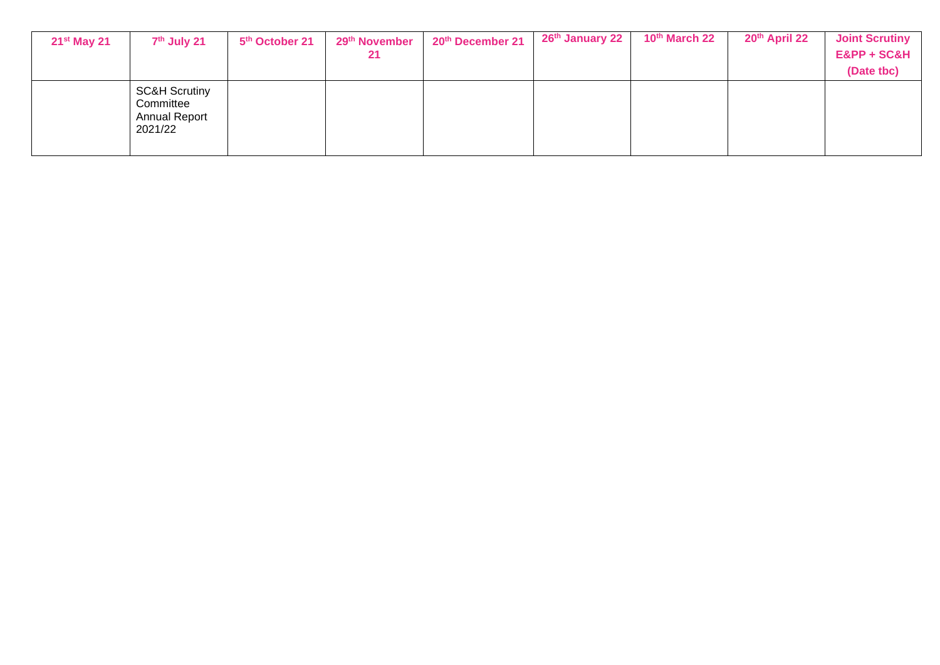| $21st$ May 21 | 7 <sup>th</sup> July 21                                                  | 5 <sup>th</sup> October 21 | 29th November | 20th December 21 | 26 <sup>th</sup> January 22 | 10th March 22 | 20th April 22 | <b>Joint Scrutiny</b> |
|---------------|--------------------------------------------------------------------------|----------------------------|---------------|------------------|-----------------------------|---------------|---------------|-----------------------|
|               |                                                                          |                            | 21            |                  |                             |               |               | E&PP + SC&H           |
|               |                                                                          |                            |               |                  |                             |               |               | (Date tbc)            |
|               | <b>SC&amp;H Scrutiny</b><br>Committee<br><b>Annual Report</b><br>2021/22 |                            |               |                  |                             |               |               |                       |